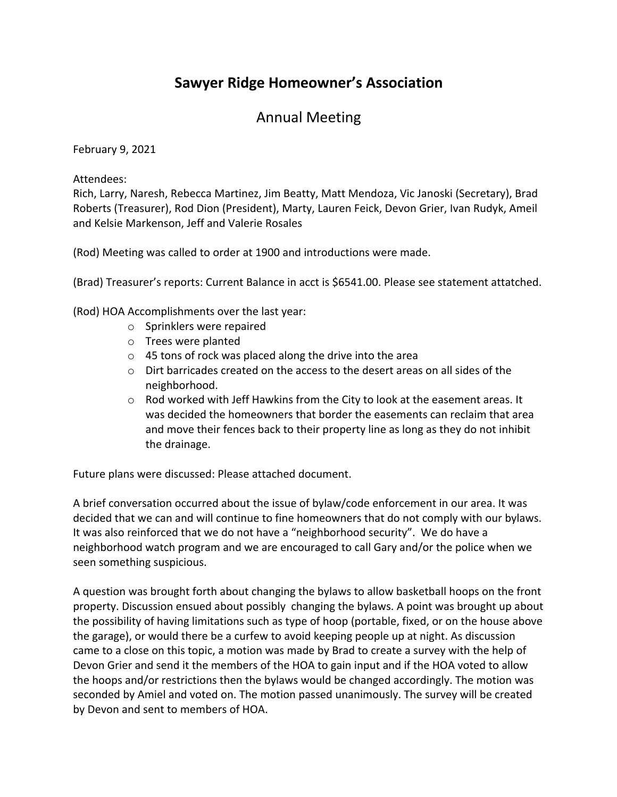## **Sawyer Ridge Homeowner's Association**

## Annual Meeting

February 9, 2021

Attendees:

Rich, Larry, Naresh, Rebecca Martinez, Jim Beatty, Matt Mendoza, Vic Janoski (Secretary), Brad Roberts (Treasurer), Rod Dion (President), Marty, Lauren Feick, Devon Grier, Ivan Rudyk, Ameil and Kelsie Markenson, Jeff and Valerie Rosales

(Rod) Meeting was called to order at 1900 and introductions were made.

(Brad) Treasurer's reports: Current Balance in acct is \$6541.00. Please see statement attatched.

(Rod) HOA Accomplishments over the last year:

- o Sprinklers were repaired
- o Trees were planted
- o 45 tons of rock was placed along the drive into the area
- o Dirt barricades created on the access to the desert areas on all sides of the neighborhood.
- $\circ$  Rod worked with Jeff Hawkins from the City to look at the easement areas. It was decided the homeowners that border the easements can reclaim that area and move their fences back to their property line as long as they do not inhibit the drainage.

Future plans were discussed: Please attached document.

A brief conversation occurred about the issue of bylaw/code enforcement in our area. It was decided that we can and will continue to fine homeowners that do not comply with our bylaws. It was also reinforced that we do not have a "neighborhood security". We do have a neighborhood watch program and we are encouraged to call Gary and/or the police when we seen something suspicious.

A question was brought forth about changing the bylaws to allow basketball hoops on the front property. Discussion ensued about possibly changing the bylaws. A point was brought up about the possibility of having limitations such as type of hoop (portable, fixed, or on the house above the garage), or would there be a curfew to avoid keeping people up at night. As discussion came to a close on this topic, a motion was made by Brad to create a survey with the help of Devon Grier and send it the members of the HOA to gain input and if the HOA voted to allow the hoops and/or restrictions then the bylaws would be changed accordingly. The motion was seconded by Amiel and voted on. The motion passed unanimously. The survey will be created by Devon and sent to members of HOA.